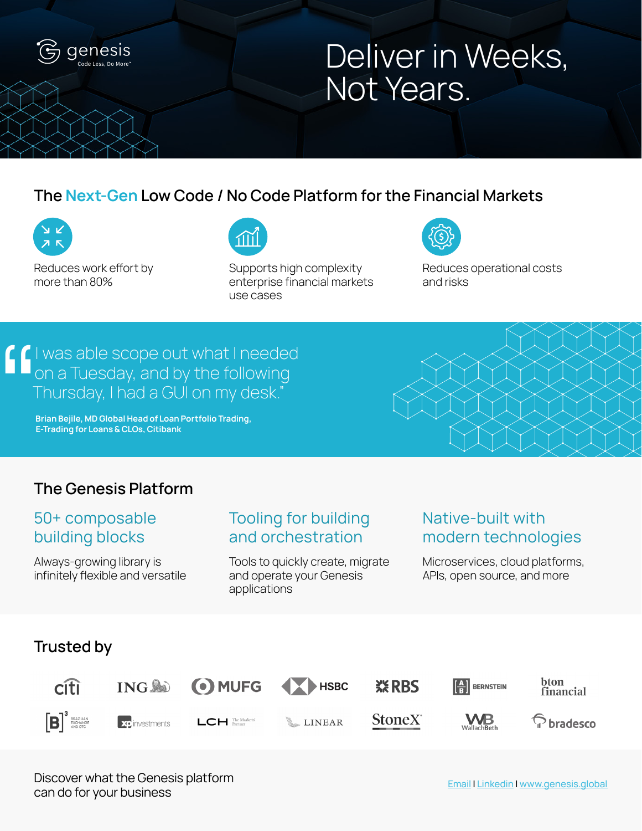

## Deliver in Weeks, Not Years.

## **The Next-Gen Low Code / No Code Platform for the Financial Markets**



Reduces work effort by more than 80%



Supports high complexity enterprise financial markets use cases



Reduces operational costs and risks

# I was able scope out what I needed on a Tuesday, and by the following Thursday, I had a GUI on my desk."  $\begin{array}{c}\n\bullet \\
\bullet \\
\bullet \\
\bullet \\
\bullet \\
\bullet \\
\bullet \\
\bullet \\
\bullet \\
\bullet\n\end{array}$

 **Brian Bejile, MD Global Head of Loan Portfolio Trading, E-Trading for Loans & CLOs, Citibank**



## 50+ composable building blocks

Always-growing library is infinitely flexible and versatile

## Tooling for building and orchestration

Tools to quickly create, migrate and operate your Genesis applications

## Native-built with modern technologies

Microservices, cloud platforms, APIs, open source, and more



Discover what the Genesis platform can do for your business

Email | Linkedin | www.genesis.global